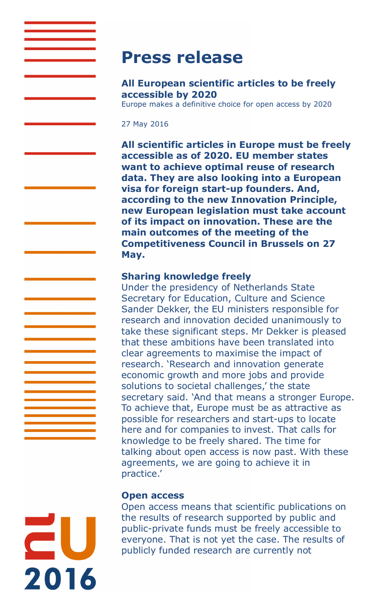# **Press release**

# **All European scientific articles to be freely accessible by 2020**

Europe makes a definitive choice for open access by 2020

27 May 2016

**All scientific articles in Europe must be freely accessible as of 2020. EU member states want to achieve optimal reuse of research data. They are also looking into a European visa for foreign start-up founders. And, according to the new Innovation Principle, new European legislation must take account of its impact on innovation. These are the main outcomes of the meeting of the Competitiveness Council in Brussels on 27 May.**

## **Sharing knowledge freely**

Under the presidency of Netherlands State Secretary for Education, Culture and Science Sander Dekker, the EU ministers responsible for research and innovation decided unanimously to take these significant steps. Mr Dekker is pleased that these ambitions have been translated into clear agreements to maximise the impact of research. 'Research and innovation generate economic growth and more jobs and provide solutions to societal challenges,' the state secretary said. 'And that means a stronger Europe. To achieve that, Europe must be as attractive as possible for researchers and start-ups to locate here and for companies to invest. That calls for knowledge to be freely shared. The time for talking about open access is now past. With these agreements, we are going to achieve it in practice.'

## **Open access**

Open access means that scientific publications on the results of research supported by public and public-private funds must be freely accessible to everyone. That is not yet the case. The results of publicly funded research are currently not

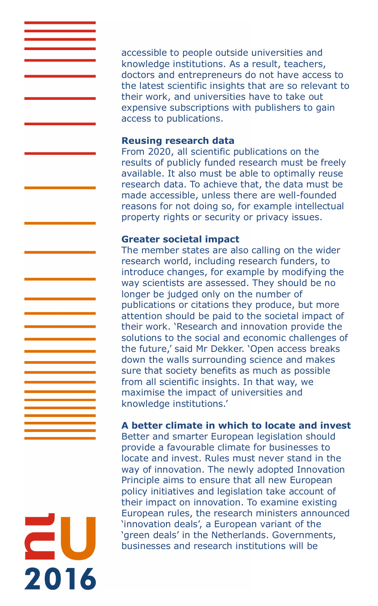accessible to people outside universities and knowledge institutions. As a result, teachers, doctors and entrepreneurs do not have access to the latest scientific insights that are so relevant to their work, and universities have to take out expensive subscriptions with publishers to gain access to publications.

#### **Reusing research data**

From 2020, all scientific publications on the results of publicly funded research must be freely available. It also must be able to optimally reuse research data. To achieve that, the data must be made accessible, unless there are well-founded reasons for not doing so, for example intellectual property rights or security or privacy issues.

## **Greater societal impact**

2016

The member states are also calling on the wider research world, including research funders, to introduce changes, for example by modifying the way scientists are assessed. They should be no longer be judged only on the number of publications or citations they produce, but more attention should be paid to the societal impact of their work. 'Research and innovation provide the solutions to the social and economic challenges of the future,' said Mr Dekker. 'Open access breaks down the walls surrounding science and makes sure that society benefits as much as possible from all scientific insights. In that way, we maximise the impact of universities and knowledge institutions.'

# **A better climate in which to locate and invest**

Better and smarter European legislation should provide a favourable climate for businesses to locate and invest. Rules must never stand in the way of innovation. The newly adopted Innovation Principle aims to ensure that all new European policy initiatives and legislation take account of their impact on innovation. To examine existing European rules, the research ministers announced 'innovation deals', a European variant of the 'green deals' in the Netherlands. Governments, businesses and research institutions will be